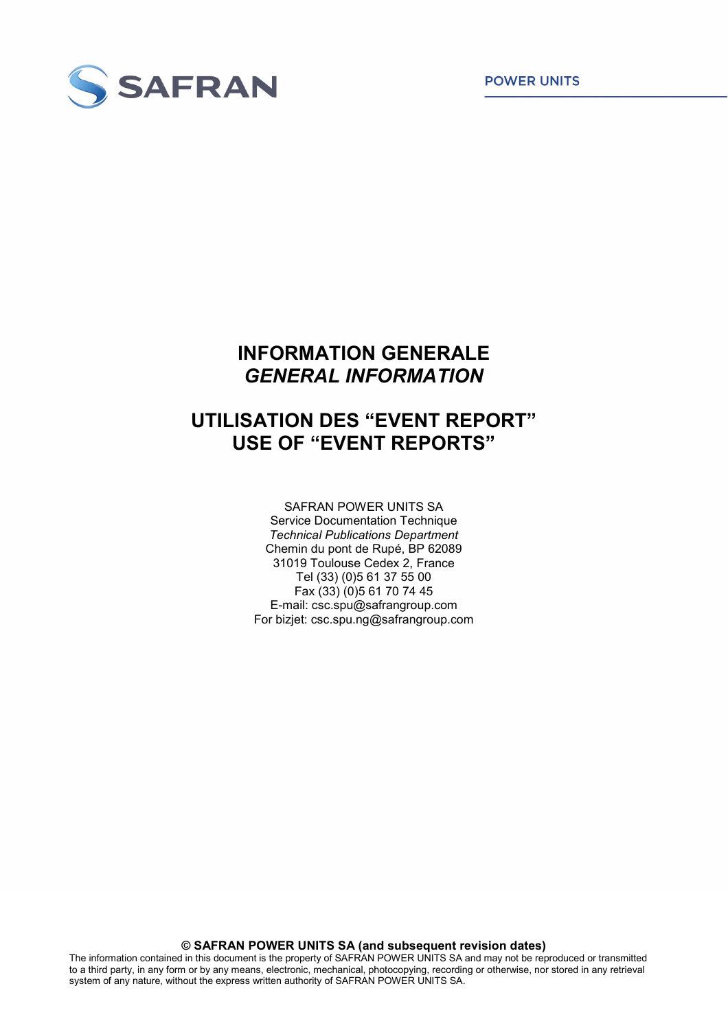

### **INFORMATION GENERALE** *GENERAL INFORMATION*

## **UTILISATION DES "EVENT REPORT" USE OF "EVENT REPORTS"**

SAFRAN POWER UNITS SA Service Documentation Technique *Technical Publications Department* Chemin du pont de Rupé, BP 62089 31019 Toulouse Cedex 2, France Tel (33) (0)5 61 37 55 00 Fax (33) (0)5 61 70 74 45 E-mail: csc.spu@safrangroup.com For bizjet: csc.spu.ng@safrangroup.com

**© SAFRAN POWER UNITS SA (and subsequent revision dates)**

The information contained in this document is the property of SAFRAN POWER UNITS SA and may not be reproduced or transmitted to a third party, in any form or by any means, electronic, mechanical, photocopying, recording or otherwise, nor stored in any retrieval system of any nature, without the express written authority of SAFRAN POWER UNITS SA.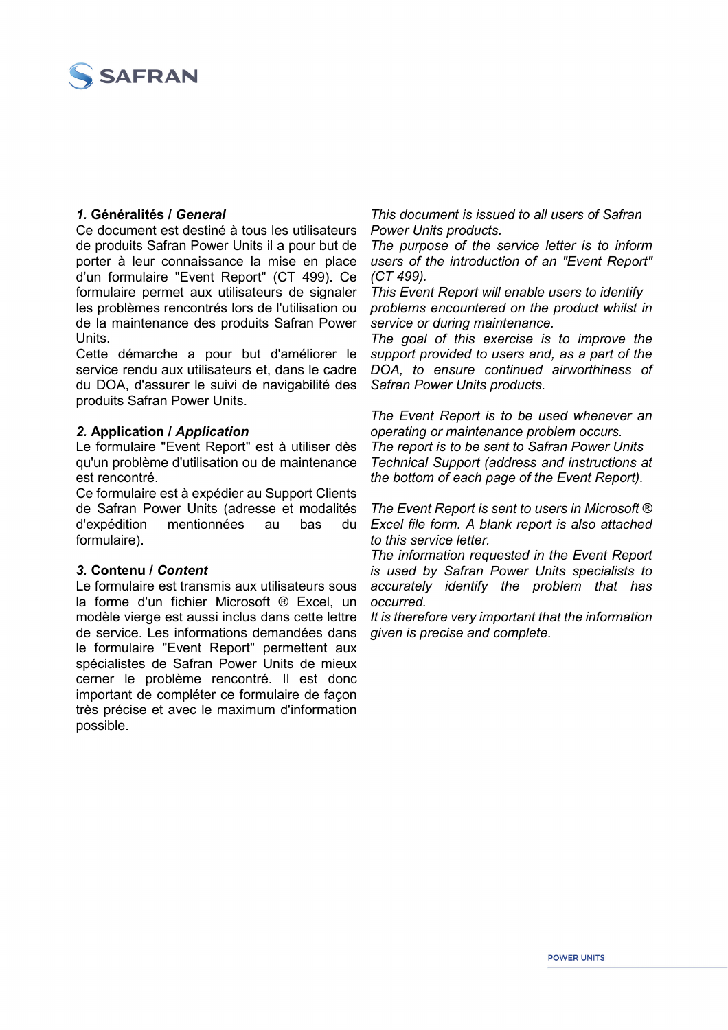

#### *1.* **Généralités /** *General*

Ce document est destiné à tous les utilisateurs de produits Safran Power Units il a pour but de porter à leur connaissance la mise en place d'un formulaire "Event Report" (CT 499). Ce formulaire permet aux utilisateurs de signaler les problèmes rencontrés lors de l'utilisation ou de la maintenance des produits Safran Power Units.

Cette démarche a pour but d'améliorer le service rendu aux utilisateurs et, dans le cadre du DOA, d'assurer le suivi de navigabilité des produits Safran Power Units.

#### *2.* **Application /** *Application*

Le formulaire "Event Report" est à utiliser dès qu'un problème d'utilisation ou de maintenance est rencontré.

Ce formulaire est à expédier au Support Clients de Safran Power Units (adresse et modalités d'expédition mentionnées au bas du formulaire).

#### *3.* **Contenu /** *Content*

Le formulaire est transmis aux utilisateurs sous la forme d'un fichier Microsoft ® Excel, un modèle vierge est aussi inclus dans cette lettre de service. Les informations demandées dans le formulaire "Event Report" permettent aux spécialistes de Safran Power Units de mieux cerner le problème rencontré. Il est donc important de compléter ce formulaire de façon très précise et avec le maximum d'information possible.

*This document is issued to all users of Safran Power Units products.*

*The purpose of the service letter is to inform users of the introduction of an "Event Report" (CT 499).*

*This Event Report will enable users to identify problems encountered on the product whilst in service or during maintenance.*

*The goal of this exercise is to improve the support provided to users and, as a part of the DOA, to ensure continued airworthiness of Safran Power Units products.*

*The Event Report is to be used whenever an operating or maintenance problem occurs. The report is to be sent to Safran Power Units Technical Support (address and instructions at the bottom of each page of the Event Report).*

*The Event Report is sent to users in Microsoft ® Excel file form. A blank report is also attached to this service letter.*

*The information requested in the Event Report is used by Safran Power Units specialists to accurately identify the problem that has occurred.*

*It is therefore very important that the information given is precise and complete.*